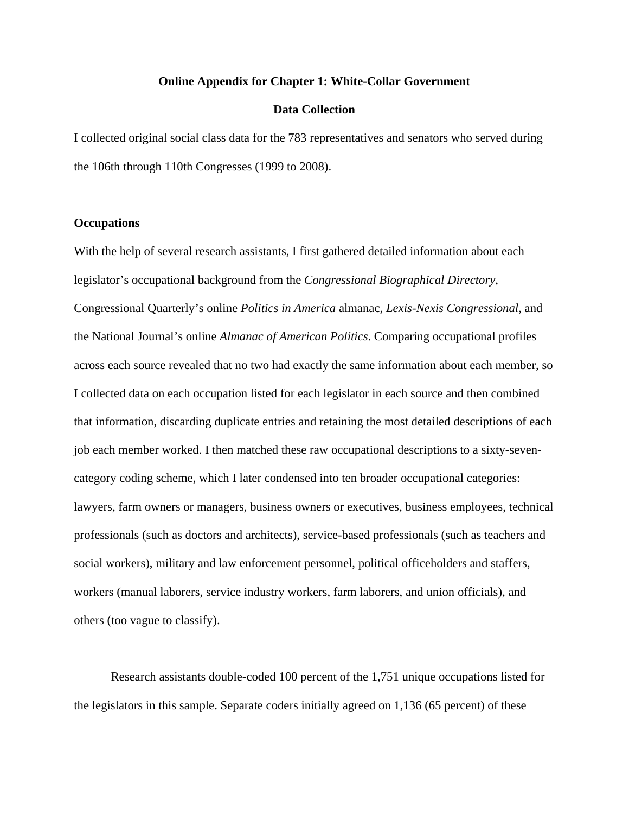## **Online Appendix for Chapter 1: White-Collar Government**

# **Data Collection**

I collected original social class data for the 783 representatives and senators who served during the 106th through 110th Congresses (1999 to 2008).

# **Occupations**

With the help of several research assistants, I first gathered detailed information about each legislator's occupational background from the *Congressional Biographical Directory*, Congressional Quarterly's online *Politics in America* almanac, *Lexis-Nexis Congressional*, and the National Journal's online *Almanac of American Politics*. Comparing occupational profiles across each source revealed that no two had exactly the same information about each member, so I collected data on each occupation listed for each legislator in each source and then combined that information, discarding duplicate entries and retaining the most detailed descriptions of each job each member worked. I then matched these raw occupational descriptions to a sixty-sevencategory coding scheme, which I later condensed into ten broader occupational categories: lawyers, farm owners or managers, business owners or executives, business employees, technical professionals (such as doctors and architects), service-based professionals (such as teachers and social workers), military and law enforcement personnel, political officeholders and staffers, workers (manual laborers, service industry workers, farm laborers, and union officials), and others (too vague to classify).

Research assistants double-coded 100 percent of the 1,751 unique occupations listed for the legislators in this sample. Separate coders initially agreed on 1,136 (65 percent) of these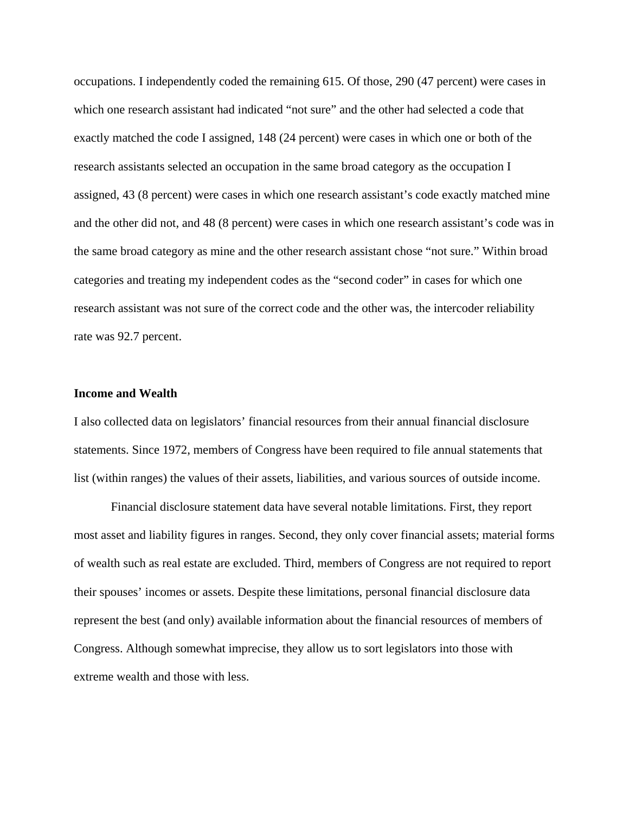occupations. I independently coded the remaining 615. Of those, 290 (47 percent) were cases in which one research assistant had indicated "not sure" and the other had selected a code that exactly matched the code I assigned, 148 (24 percent) were cases in which one or both of the research assistants selected an occupation in the same broad category as the occupation I assigned, 43 (8 percent) were cases in which one research assistant's code exactly matched mine and the other did not, and 48 (8 percent) were cases in which one research assistant's code was in the same broad category as mine and the other research assistant chose "not sure." Within broad categories and treating my independent codes as the "second coder" in cases for which one research assistant was not sure of the correct code and the other was, the intercoder reliability rate was 92.7 percent.

# **Income and Wealth**

I also collected data on legislators' financial resources from their annual financial disclosure statements. Since 1972, members of Congress have been required to file annual statements that list (within ranges) the values of their assets, liabilities, and various sources of outside income.

Financial disclosure statement data have several notable limitations. First, they report most asset and liability figures in ranges. Second, they only cover financial assets; material forms of wealth such as real estate are excluded. Third, members of Congress are not required to report their spouses' incomes or assets. Despite these limitations, personal financial disclosure data represent the best (and only) available information about the financial resources of members of Congress. Although somewhat imprecise, they allow us to sort legislators into those with extreme wealth and those with less.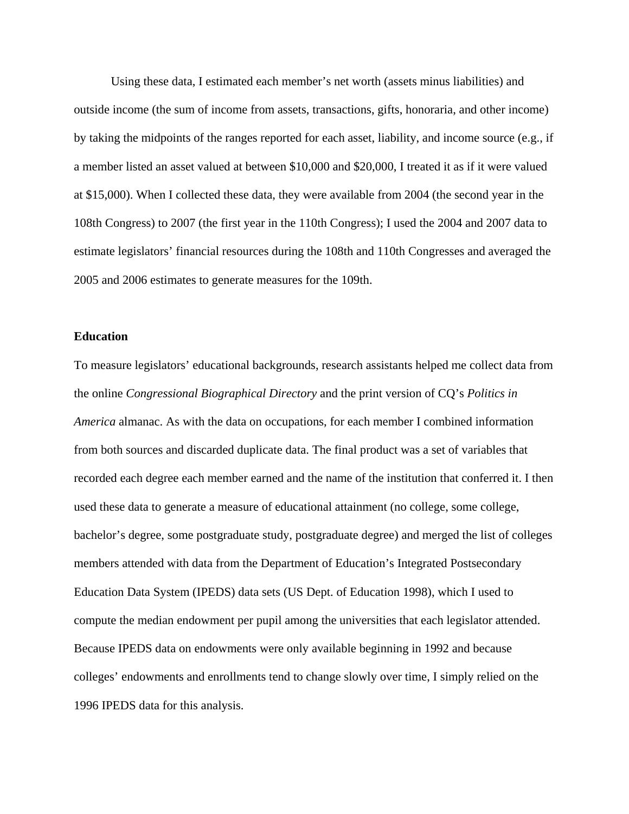Using these data, I estimated each member's net worth (assets minus liabilities) and outside income (the sum of income from assets, transactions, gifts, honoraria, and other income) by taking the midpoints of the ranges reported for each asset, liability, and income source (e.g., if a member listed an asset valued at between \$10,000 and \$20,000, I treated it as if it were valued at \$15,000). When I collected these data, they were available from 2004 (the second year in the 108th Congress) to 2007 (the first year in the 110th Congress); I used the 2004 and 2007 data to estimate legislators' financial resources during the 108th and 110th Congresses and averaged the 2005 and 2006 estimates to generate measures for the 109th.

#### **Education**

To measure legislators' educational backgrounds, research assistants helped me collect data from the online *Congressional Biographical Directory* and the print version of CQ's *Politics in America* almanac. As with the data on occupations, for each member I combined information from both sources and discarded duplicate data. The final product was a set of variables that recorded each degree each member earned and the name of the institution that conferred it. I then used these data to generate a measure of educational attainment (no college, some college, bachelor's degree, some postgraduate study, postgraduate degree) and merged the list of colleges members attended with data from the Department of Education's Integrated Postsecondary Education Data System (IPEDS) data sets (US Dept. of Education 1998), which I used to compute the median endowment per pupil among the universities that each legislator attended. Because IPEDS data on endowments were only available beginning in 1992 and because colleges' endowments and enrollments tend to change slowly over time, I simply relied on the 1996 IPEDS data for this analysis.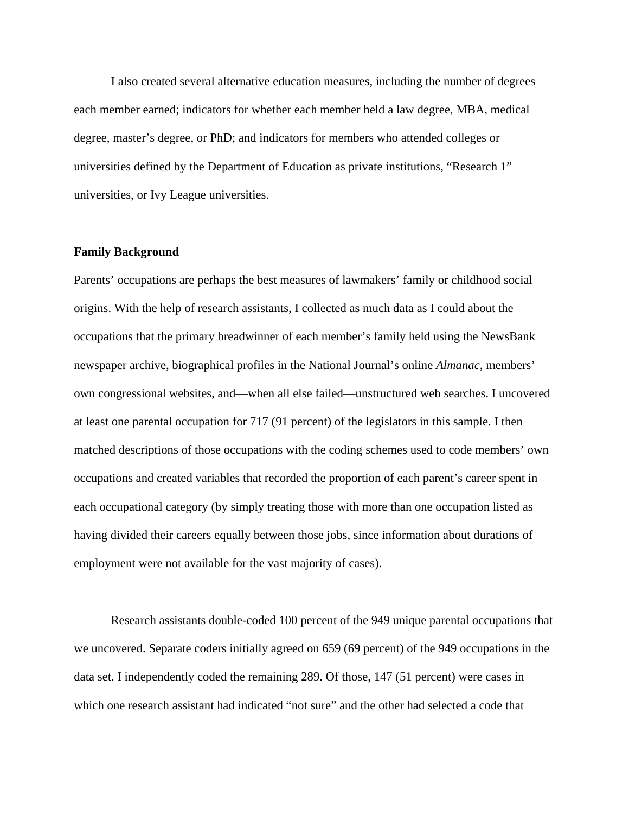I also created several alternative education measures, including the number of degrees each member earned; indicators for whether each member held a law degree, MBA, medical degree, master's degree, or PhD; and indicators for members who attended colleges or universities defined by the Department of Education as private institutions, "Research 1" universities, or Ivy League universities.

# **Family Background**

Parents' occupations are perhaps the best measures of lawmakers' family or childhood social origins. With the help of research assistants, I collected as much data as I could about the occupations that the primary breadwinner of each member's family held using the NewsBank newspaper archive, biographical profiles in the National Journal's online *Almanac*, members' own congressional websites, and—when all else failed—unstructured web searches. I uncovered at least one parental occupation for 717 (91 percent) of the legislators in this sample. I then matched descriptions of those occupations with the coding schemes used to code members' own occupations and created variables that recorded the proportion of each parent's career spent in each occupational category (by simply treating those with more than one occupation listed as having divided their careers equally between those jobs, since information about durations of employment were not available for the vast majority of cases).

Research assistants double-coded 100 percent of the 949 unique parental occupations that we uncovered. Separate coders initially agreed on 659 (69 percent) of the 949 occupations in the data set. I independently coded the remaining 289. Of those, 147 (51 percent) were cases in which one research assistant had indicated "not sure" and the other had selected a code that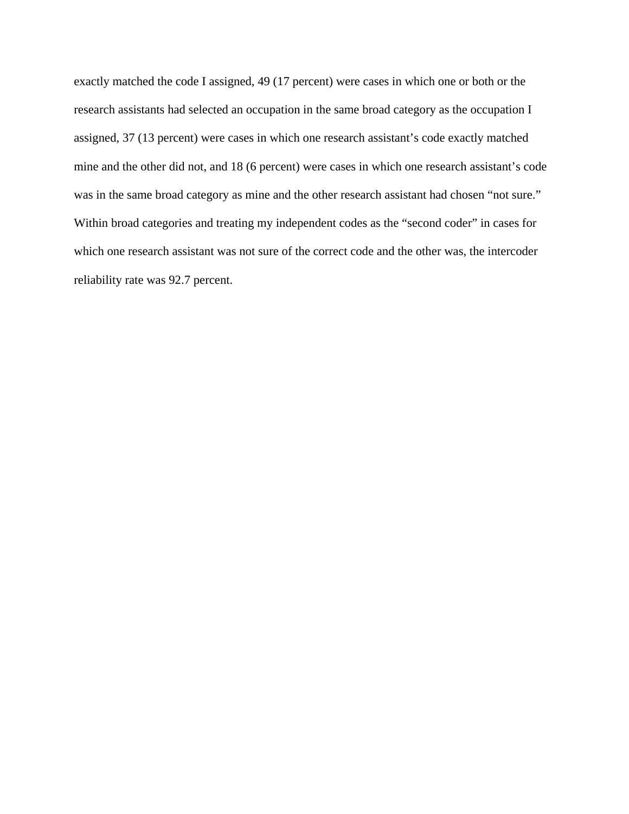exactly matched the code I assigned, 49 (17 percent) were cases in which one or both or the research assistants had selected an occupation in the same broad category as the occupation I assigned, 37 (13 percent) were cases in which one research assistant's code exactly matched mine and the other did not, and 18 (6 percent) were cases in which one research assistant's code was in the same broad category as mine and the other research assistant had chosen "not sure." Within broad categories and treating my independent codes as the "second coder" in cases for which one research assistant was not sure of the correct code and the other was, the intercoder reliability rate was 92.7 percent.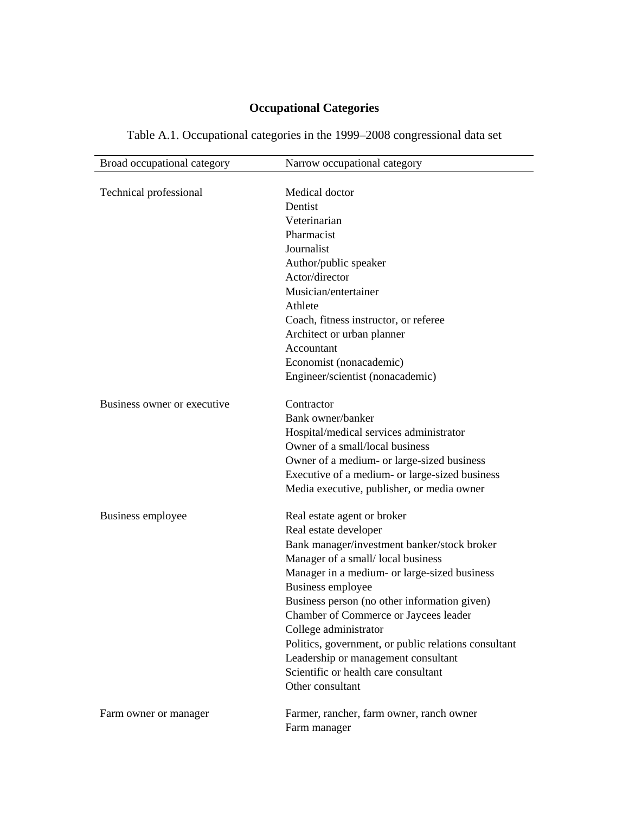# **Occupational Categories**

| Broad occupational category  | Narrow occupational category                         |
|------------------------------|------------------------------------------------------|
|                              |                                                      |
| Technical professional       | Medical doctor                                       |
|                              | Dentist                                              |
|                              | Veterinarian                                         |
|                              | Pharmacist                                           |
|                              | Journalist                                           |
|                              | Author/public speaker                                |
|                              | Actor/director                                       |
|                              | Musician/entertainer                                 |
|                              | Athlete                                              |
|                              | Coach, fitness instructor, or referee                |
|                              | Architect or urban planner                           |
|                              | Accountant                                           |
|                              | Economist (nonacademic)                              |
|                              | Engineer/scientist (nonacademic)                     |
| Business owner or executive. | Contractor                                           |
|                              | Bank owner/banker                                    |
|                              | Hospital/medical services administrator              |
|                              | Owner of a small/local business                      |
|                              | Owner of a medium- or large-sized business           |
|                              | Executive of a medium- or large-sized business       |
|                              | Media executive, publisher, or media owner           |
| Business employee            | Real estate agent or broker                          |
|                              | Real estate developer                                |
|                              | Bank manager/investment banker/stock broker          |
|                              | Manager of a small/local business                    |
|                              | Manager in a medium- or large-sized business         |
|                              | Business employee                                    |
|                              | Business person (no other information given)         |
|                              | Chamber of Commerce or Jaycees leader                |
|                              | College administrator                                |
|                              | Politics, government, or public relations consultant |
|                              | Leadership or management consultant                  |
|                              | Scientific or health care consultant                 |
|                              | Other consultant                                     |
| Farm owner or manager        | Farmer, rancher, farm owner, ranch owner             |
|                              | Farm manager                                         |

# Table A.1. Occupational categories in the 1999–2008 congressional data set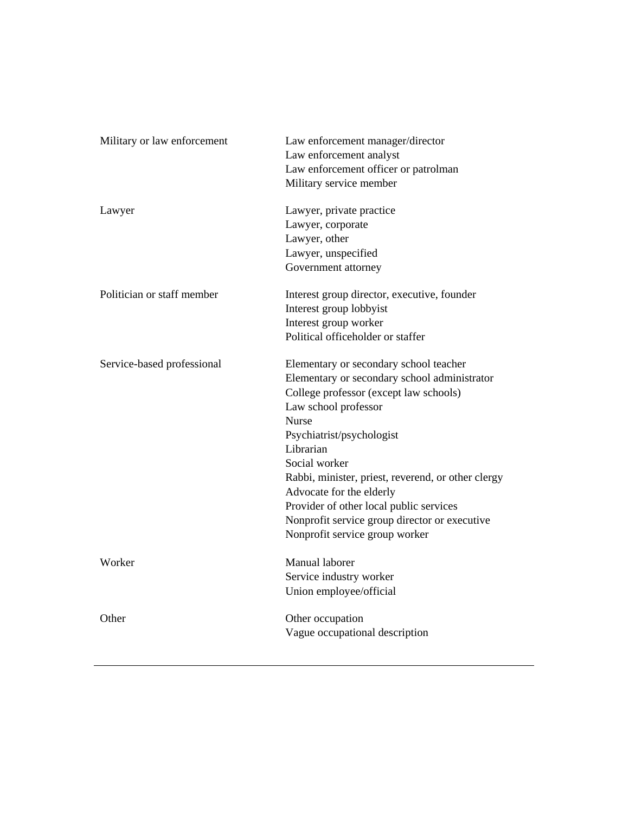| Military or law enforcement | Law enforcement manager/director<br>Law enforcement analyst<br>Law enforcement officer or patrolman<br>Military service member                                                                                                                                                                                                                                                                                                                      |
|-----------------------------|-----------------------------------------------------------------------------------------------------------------------------------------------------------------------------------------------------------------------------------------------------------------------------------------------------------------------------------------------------------------------------------------------------------------------------------------------------|
| Lawyer                      | Lawyer, private practice<br>Lawyer, corporate<br>Lawyer, other<br>Lawyer, unspecified<br>Government attorney                                                                                                                                                                                                                                                                                                                                        |
| Politician or staff member  | Interest group director, executive, founder<br>Interest group lobbyist<br>Interest group worker<br>Political officeholder or staffer                                                                                                                                                                                                                                                                                                                |
| Service-based professional  | Elementary or secondary school teacher<br>Elementary or secondary school administrator<br>College professor (except law schools)<br>Law school professor<br><b>Nurse</b><br>Psychiatrist/psychologist<br>Librarian<br>Social worker<br>Rabbi, minister, priest, reverend, or other clergy<br>Advocate for the elderly<br>Provider of other local public services<br>Nonprofit service group director or executive<br>Nonprofit service group worker |
| Worker                      | Manual laborer<br>Service industry worker<br>Union employee/official                                                                                                                                                                                                                                                                                                                                                                                |
| Other                       | Other occupation<br>Vague occupational description                                                                                                                                                                                                                                                                                                                                                                                                  |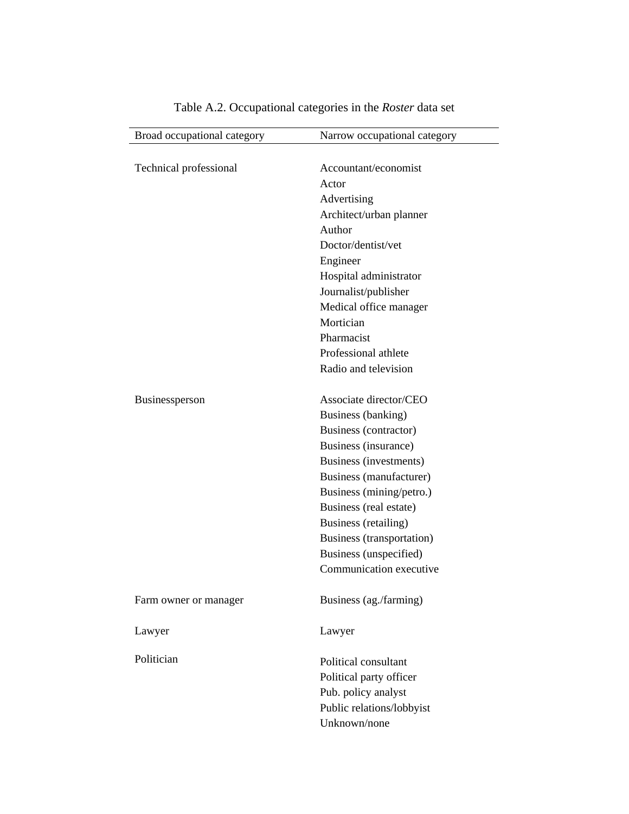| Broad occupational category | Narrow occupational category |
|-----------------------------|------------------------------|
|                             |                              |
| Technical professional      | Accountant/economist         |
|                             | Actor                        |
|                             | Advertising                  |
|                             | Architect/urban planner      |
|                             | Author                       |
|                             | Doctor/dentist/vet           |
|                             | Engineer                     |
|                             | Hospital administrator       |
|                             | Journalist/publisher         |
|                             | Medical office manager       |
|                             | Mortician                    |
|                             | Pharmacist                   |
|                             | Professional athlete         |
|                             | Radio and television         |
| Businessperson              | Associate director/CEO       |
|                             | Business (banking)           |
|                             | Business (contractor)        |
|                             | Business (insurance)         |
|                             | Business (investments)       |
|                             | Business (manufacturer)      |
|                             | Business (mining/petro.)     |
|                             | Business (real estate)       |
|                             | Business (retailing)         |
|                             | Business (transportation)    |
|                             | Business (unspecified)       |
|                             | Communication executive      |
| Farm owner or manager       | Business (ag./farming)       |
| Lawyer                      | Lawyer                       |
| Politician                  | Political consultant         |
|                             | Political party officer      |
|                             | Pub. policy analyst          |
|                             | Public relations/lobbyist    |
|                             | Unknown/none                 |
|                             |                              |

# Table A.2. Occupational categories in the *Roster* data set